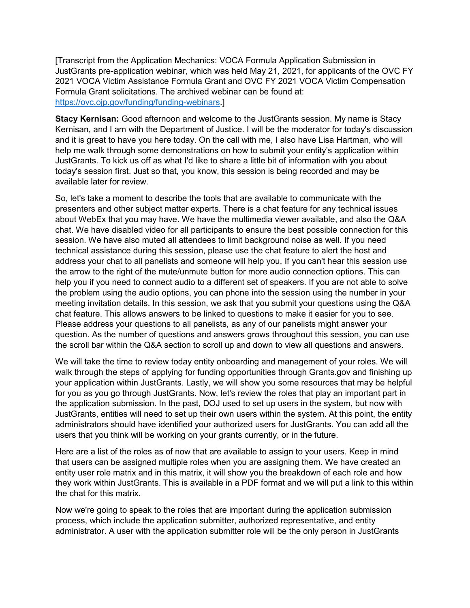[Transcript from the Application Mechanics: VOCA Formula Application Submission in JustGrants pre-application webinar, which was held May 21, 2021, for applicants of the OVC FY 2021 VOCA Victim Assistance Formula Grant and OVC FY 2021 VOCA Victim Compensation Formula Grant solicitations. The archived webinar can be found at: [https://ovc.ojp.gov/funding/funding-webinars.](https://ovc.ojp.gov/funding/funding-webinars)]

**Stacy Kernisan:** Good afternoon and welcome to the JustGrants session. My name is Stacy Kernisan, and I am with the Department of Justice. I will be the moderator for today's discussion and it is great to have you here today. On the call with me, I also have Lisa Hartman, who will help me walk through some demonstrations on how to submit your entity's application within JustGrants. To kick us off as what I'd like to share a little bit of information with you about today's session first. Just so that, you know, this session is being recorded and may be available later for review.

So, let's take a moment to describe the tools that are available to communicate with the presenters and other subject matter experts. There is a chat feature for any technical issues about WebEx that you may have. We have the multimedia viewer available, and also the Q&A chat. We have disabled video for all participants to ensure the best possible connection for this session. We have also muted all attendees to limit background noise as well. If you need technical assistance during this session, please use the chat feature to alert the host and address your chat to all panelists and someone will help you. If you can't hear this session use the arrow to the right of the mute/unmute button for more audio connection options. This can help you if you need to connect audio to a different set of speakers. If you are not able to solve the problem using the audio options, you can phone into the session using the number in your meeting invitation details. In this session, we ask that you submit your questions using the Q&A chat feature. This allows answers to be linked to questions to make it easier for you to see. Please address your questions to all panelists, as any of our panelists might answer your question. As the number of questions and answers grows throughout this session, you can use the scroll bar within the Q&A section to scroll up and down to view all questions and answers.

We will take the time to review today entity onboarding and management of your roles. We will walk through the steps of applying for funding opportunities through Grants.gov and finishing up your application within JustGrants. Lastly, we will show you some resources that may be helpful for you as you go through JustGrants. Now, let's review the roles that play an important part in the application submission. In the past, DOJ used to set up users in the system, but now with JustGrants, entities will need to set up their own users within the system. At this point, the entity administrators should have identified your authorized users for JustGrants. You can add all the users that you think will be working on your grants currently, or in the future.

Here are a list of the roles as of now that are available to assign to your users. Keep in mind that users can be assigned multiple roles when you are assigning them. We have created an entity user role matrix and in this matrix, it will show you the breakdown of each role and how they work within JustGrants. This is available in a PDF format and we will put a link to this within the chat for this matrix.

Now we're going to speak to the roles that are important during the application submission process, which include the application submitter, authorized representative, and entity administrator. A user with the application submitter role will be the only person in JustGrants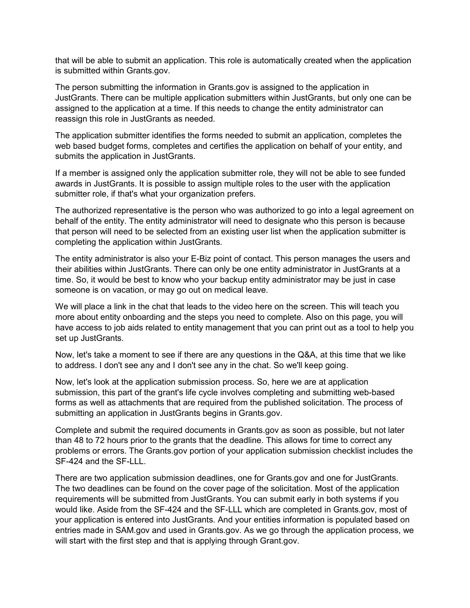that will be able to submit an application. This role is automatically created when the application is submitted within Grants.gov.

The person submitting the information in Grants.gov is assigned to the application in JustGrants. There can be multiple application submitters within JustGrants, but only one can be assigned to the application at a time. If this needs to change the entity administrator can reassign this role in JustGrants as needed.

The application submitter identifies the forms needed to submit an application, completes the web based budget forms, completes and certifies the application on behalf of your entity, and submits the application in JustGrants.

If a member is assigned only the application submitter role, they will not be able to see funded awards in JustGrants. It is possible to assign multiple roles to the user with the application submitter role, if that's what your organization prefers.

The authorized representative is the person who was authorized to go into a legal agreement on behalf of the entity. The entity administrator will need to designate who this person is because that person will need to be selected from an existing user list when the application submitter is completing the application within JustGrants.

The entity administrator is also your E-Biz point of contact. This person manages the users and their abilities within JustGrants. There can only be one entity administrator in JustGrants at a time. So, it would be best to know who your backup entity administrator may be just in case someone is on vacation, or may go out on medical leave.

We will place a link in the chat that leads to the video here on the screen. This will teach you more about entity onboarding and the steps you need to complete. Also on this page, you will have access to job aids related to entity management that you can print out as a tool to help you set up JustGrants.

Now, let's take a moment to see if there are any questions in the Q&A, at this time that we like to address. I don't see any and I don't see any in the chat. So we'll keep going.

Now, let's look at the application submission process. So, here we are at application submission, this part of the grant's life cycle involves completing and submitting web-based forms as well as attachments that are required from the published solicitation. The process of submitting an application in JustGrants begins in Grants.gov.

Complete and submit the required documents in Grants.gov as soon as possible, but not later than 48 to 72 hours prior to the grants that the deadline. This allows for time to correct any problems or errors. The Grants.gov portion of your application submission checklist includes the SF-424 and the SF-LLL.

There are two application submission deadlines, one for Grants.gov and one for JustGrants. The two deadlines can be found on the cover page of the solicitation. Most of the application requirements will be submitted from JustGrants. You can submit early in both systems if you would like. Aside from the SF-424 and the SF-LLL which are completed in Grants.gov, most of your application is entered into JustGrants. And your entities information is populated based on entries made in SAM.gov and used in Grants.gov. As we go through the application process, we will start with the first step and that is applying through Grant.gov.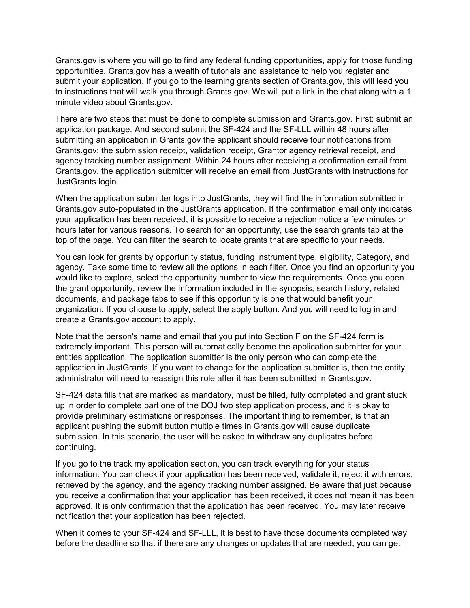Grants.gov is where you will go to find any federal funding opportunities, apply for those funding opportunities. Grants.gov has a wealth of tutorials and assistance to help you register and submit your application. If you go to the learning grants section of Grants.gov, this will lead you to instructions that will walk you through Grants.gov. We will put a link in the chat along with a 1 minute video about Grants.gov.

There are two steps that must be done to complete submission and Grants.gov. First: submit an application package. And second submit the SF-424 and the SF-LLL within 48 hours after submitting an application in Grants.gov the applicant should receive four notifications from Grants.gov: the submission receipt, validation receipt, Grantor agency retrieval receipt, and agency tracking number assignment. Within 24 hours after receiving a confirmation email from Grants.gov, the application submitter will receive an email from JustGrants with instructions for JustGrants login.

When the application submitter logs into JustGrants, they will find the information submitted in Grants.gov auto-populated in the JustGrants application. If the confirmation email only indicates your application has been received, it is possible to receive a rejection notice a few minutes or hours later for various reasons. To search for an opportunity, use the search grants tab at the top of the page. You can filter the search to locate grants that are specific to your needs.

You can look for grants by opportunity status, funding instrument type, eligibility, Category, and agency. Take some time to review all the options in each filter. Once you find an opportunity you would like to explore, select the opportunity number to view the requirements. Once you open the grant opportunity, review the information included in the synopsis, search history, related documents, and package tabs to see if this opportunity is one that would benefit your organization. If you choose to apply, select the apply button. And you will need to log in and create a Grants.gov account to apply.

Note that the person's name and email that you put into Section F on the SF-424 form is extremely important. This person will automatically become the application submitter for your entities application. The application submitter is the only person who can complete the application in JustGrants. If you want to change for the application submitter is, then the entity administrator will need to reassign this role after it has been submitted in Grants.gov.

SF-424 data fills that are marked as mandatory, must be filled, fully completed and grant stuck up in order to complete part one of the DOJ two step application process, and it is okay to provide preliminary estimations or responses. The important thing to remember, is that an applicant pushing the submit button multiple times in Grants.gov will cause duplicate submission. In this scenario, the user will be asked to withdraw any duplicates before continuing.

If you go to the track my application section, you can track everything for your status information. You can check if your application has been received, validate it, reject it with errors, retrieved by the agency, and the agency tracking number assigned. Be aware that just because you receive a confirmation that your application has been received, it does not mean it has been approved. It is only confirmation that the application has been received. You may later receive notification that your application has been rejected.

When it comes to your SF-424 and SF-LLL, it is best to have those documents completed way before the deadline so that if there are any changes or updates that are needed, you can get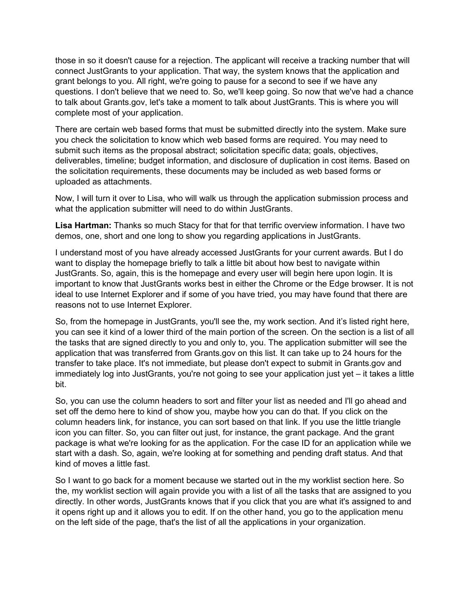those in so it doesn't cause for a rejection. The applicant will receive a tracking number that will connect JustGrants to your application. That way, the system knows that the application and grant belongs to you. All right, we're going to pause for a second to see if we have any questions. I don't believe that we need to. So, we'll keep going. So now that we've had a chance to talk about Grants.gov, let's take a moment to talk about JustGrants. This is where you will complete most of your application.

There are certain web based forms that must be submitted directly into the system. Make sure you check the solicitation to know which web based forms are required. You may need to submit such items as the proposal abstract; solicitation specific data; goals, objectives, deliverables, timeline; budget information, and disclosure of duplication in cost items. Based on the solicitation requirements, these documents may be included as web based forms or uploaded as attachments.

Now, I will turn it over to Lisa, who will walk us through the application submission process and what the application submitter will need to do within JustGrants.

**Lisa Hartman:** Thanks so much Stacy for that for that terrific overview information. I have two demos, one, short and one long to show you regarding applications in JustGrants.

I understand most of you have already accessed JustGrants for your current awards. But I do want to display the homepage briefly to talk a little bit about how best to navigate within JustGrants. So, again, this is the homepage and every user will begin here upon login. It is important to know that JustGrants works best in either the Chrome or the Edge browser. It is not ideal to use Internet Explorer and if some of you have tried, you may have found that there are reasons not to use Internet Explorer.

So, from the homepage in JustGrants, you'll see the, my work section. And it's listed right here, you can see it kind of a lower third of the main portion of the screen. On the section is a list of all the tasks that are signed directly to you and only to, you. The application submitter will see the application that was transferred from Grants.gov on this list. It can take up to 24 hours for the transfer to take place. It's not immediate, but please don't expect to submit in Grants.gov and immediately log into JustGrants, you're not going to see your application just yet – it takes a little bit.

So, you can use the column headers to sort and filter your list as needed and I'll go ahead and set off the demo here to kind of show you, maybe how you can do that. If you click on the column headers link, for instance, you can sort based on that link. If you use the little triangle icon you can filter. So, you can filter out just, for instance, the grant package. And the grant package is what we're looking for as the application. For the case ID for an application while we start with a dash. So, again, we're looking at for something and pending draft status. And that kind of moves a little fast.

So I want to go back for a moment because we started out in the my worklist section here. So the, my worklist section will again provide you with a list of all the tasks that are assigned to you directly. In other words, JustGrants knows that if you click that you are what it's assigned to and it opens right up and it allows you to edit. If on the other hand, you go to the application menu on the left side of the page, that's the list of all the applications in your organization.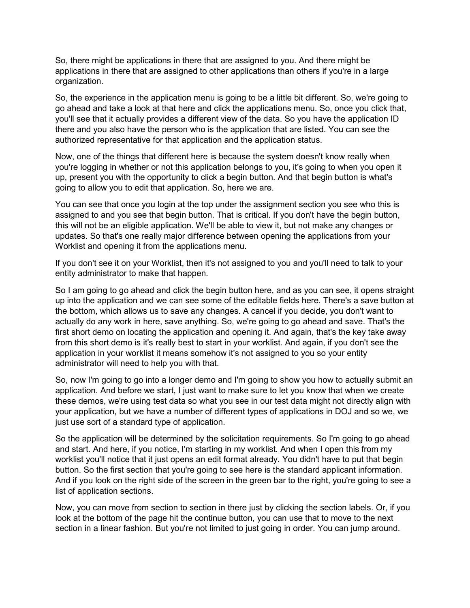So, there might be applications in there that are assigned to you. And there might be applications in there that are assigned to other applications than others if you're in a large organization.

So, the experience in the application menu is going to be a little bit different. So, we're going to go ahead and take a look at that here and click the applications menu. So, once you click that, you'll see that it actually provides a different view of the data. So you have the application ID there and you also have the person who is the application that are listed. You can see the authorized representative for that application and the application status.

Now, one of the things that different here is because the system doesn't know really when you're logging in whether or not this application belongs to you, it's going to when you open it up, present you with the opportunity to click a begin button. And that begin button is what's going to allow you to edit that application. So, here we are.

You can see that once you login at the top under the assignment section you see who this is assigned to and you see that begin button. That is critical. If you don't have the begin button, this will not be an eligible application. We'll be able to view it, but not make any changes or updates. So that's one really major difference between opening the applications from your Worklist and opening it from the applications menu.

If you don't see it on your Worklist, then it's not assigned to you and you'll need to talk to your entity administrator to make that happen.

So I am going to go ahead and click the begin button here, and as you can see, it opens straight up into the application and we can see some of the editable fields here. There's a save button at the bottom, which allows us to save any changes. A cancel if you decide, you don't want to actually do any work in here, save anything. So, we're going to go ahead and save. That's the first short demo on locating the application and opening it. And again, that's the key take away from this short demo is it's really best to start in your worklist. And again, if you don't see the application in your worklist it means somehow it's not assigned to you so your entity administrator will need to help you with that.

So, now I'm going to go into a longer demo and I'm going to show you how to actually submit an application. And before we start, I just want to make sure to let you know that when we create these demos, we're using test data so what you see in our test data might not directly align with your application, but we have a number of different types of applications in DOJ and so we, we just use sort of a standard type of application.

So the application will be determined by the solicitation requirements. So I'm going to go ahead and start. And here, if you notice, I'm starting in my worklist. And when I open this from my worklist you'll notice that it just opens an edit format already. You didn't have to put that begin button. So the first section that you're going to see here is the standard applicant information. And if you look on the right side of the screen in the green bar to the right, you're going to see a list of application sections.

Now, you can move from section to section in there just by clicking the section labels. Or, if you look at the bottom of the page hit the continue button, you can use that to move to the next section in a linear fashion. But you're not limited to just going in order. You can jump around.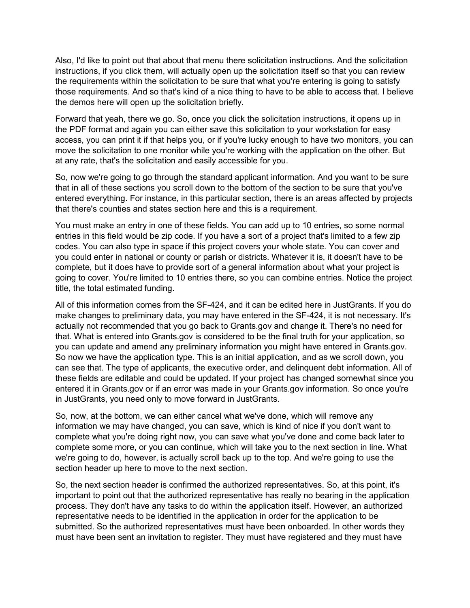Also, I'd like to point out that about that menu there solicitation instructions. And the solicitation instructions, if you click them, will actually open up the solicitation itself so that you can review the requirements within the solicitation to be sure that what you're entering is going to satisfy those requirements. And so that's kind of a nice thing to have to be able to access that. I believe the demos here will open up the solicitation briefly.

Forward that yeah, there we go. So, once you click the solicitation instructions, it opens up in the PDF format and again you can either save this solicitation to your workstation for easy access, you can print it if that helps you, or if you're lucky enough to have two monitors, you can move the solicitation to one monitor while you're working with the application on the other. But at any rate, that's the solicitation and easily accessible for you.

So, now we're going to go through the standard applicant information. And you want to be sure that in all of these sections you scroll down to the bottom of the section to be sure that you've entered everything. For instance, in this particular section, there is an areas affected by projects that there's counties and states section here and this is a requirement.

You must make an entry in one of these fields. You can add up to 10 entries, so some normal entries in this field would be zip code. If you have a sort of a project that's limited to a few zip codes. You can also type in space if this project covers your whole state. You can cover and you could enter in national or county or parish or districts. Whatever it is, it doesn't have to be complete, but it does have to provide sort of a general information about what your project is going to cover. You're limited to 10 entries there, so you can combine entries. Notice the project title, the total estimated funding.

All of this information comes from the SF-424, and it can be edited here in JustGrants. If you do make changes to preliminary data, you may have entered in the SF-424, it is not necessary. It's actually not recommended that you go back to Grants.gov and change it. There's no need for that. What is entered into Grants.gov is considered to be the final truth for your application, so you can update and amend any preliminary information you might have entered in Grants.gov. So now we have the application type. This is an initial application, and as we scroll down, you can see that. The type of applicants, the executive order, and delinquent debt information. All of these fields are editable and could be updated. If your project has changed somewhat since you entered it in Grants.gov or if an error was made in your Grants.gov information. So once you're in JustGrants, you need only to move forward in JustGrants.

So, now, at the bottom, we can either cancel what we've done, which will remove any information we may have changed, you can save, which is kind of nice if you don't want to complete what you're doing right now, you can save what you've done and come back later to complete some more, or you can continue, which will take you to the next section in line. What we're going to do, however, is actually scroll back up to the top. And we're going to use the section header up here to move to the next section.

So, the next section header is confirmed the authorized representatives. So, at this point, it's important to point out that the authorized representative has really no bearing in the application process. They don't have any tasks to do within the application itself. However, an authorized representative needs to be identified in the application in order for the application to be submitted. So the authorized representatives must have been onboarded. In other words they must have been sent an invitation to register. They must have registered and they must have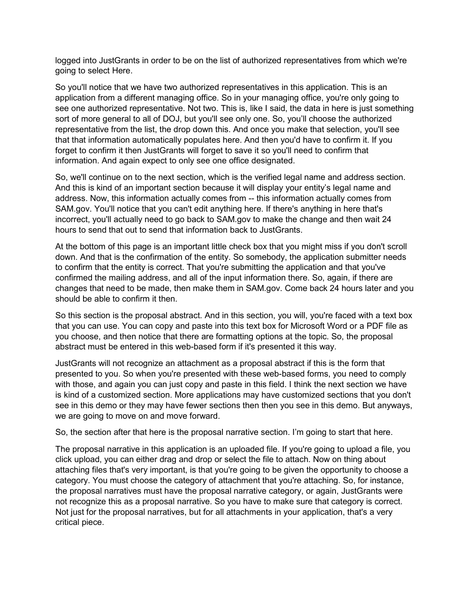logged into JustGrants in order to be on the list of authorized representatives from which we're going to select Here.

So you'll notice that we have two authorized representatives in this application. This is an application from a different managing office. So in your managing office, you're only going to see one authorized representative. Not two. This is, like I said, the data in here is just something sort of more general to all of DOJ, but you'll see only one. So, you'll choose the authorized representative from the list, the drop down this. And once you make that selection, you'll see that that information automatically populates here. And then you'd have to confirm it. If you forget to confirm it then JustGrants will forget to save it so you'll need to confirm that information. And again expect to only see one office designated.

So, we'll continue on to the next section, which is the verified legal name and address section. And this is kind of an important section because it will display your entity's legal name and address. Now, this information actually comes from -- this information actually comes from SAM.gov. You'll notice that you can't edit anything here. If there's anything in here that's incorrect, you'll actually need to go back to SAM.gov to make the change and then wait 24 hours to send that out to send that information back to JustGrants.

At the bottom of this page is an important little check box that you might miss if you don't scroll down. And that is the confirmation of the entity. So somebody, the application submitter needs to confirm that the entity is correct. That you're submitting the application and that you've confirmed the mailing address, and all of the input information there. So, again, if there are changes that need to be made, then make them in SAM.gov. Come back 24 hours later and you should be able to confirm it then.

So this section is the proposal abstract. And in this section, you will, you're faced with a text box that you can use. You can copy and paste into this text box for Microsoft Word or a PDF file as you choose, and then notice that there are formatting options at the topic. So, the proposal abstract must be entered in this web-based form if it's presented it this way.

JustGrants will not recognize an attachment as a proposal abstract if this is the form that presented to you. So when you're presented with these web-based forms, you need to comply with those, and again you can just copy and paste in this field. I think the next section we have is kind of a customized section. More applications may have customized sections that you don't see in this demo or they may have fewer sections then then you see in this demo. But anyways, we are going to move on and move forward.

So, the section after that here is the proposal narrative section. I'm going to start that here.

The proposal narrative in this application is an uploaded file. If you're going to upload a file, you click upload, you can either drag and drop or select the file to attach. Now on thing about attaching files that's very important, is that you're going to be given the opportunity to choose a category. You must choose the category of attachment that you're attaching. So, for instance, the proposal narratives must have the proposal narrative category, or again, JustGrants were not recognize this as a proposal narrative. So you have to make sure that category is correct. Not just for the proposal narratives, but for all attachments in your application, that's a very critical piece.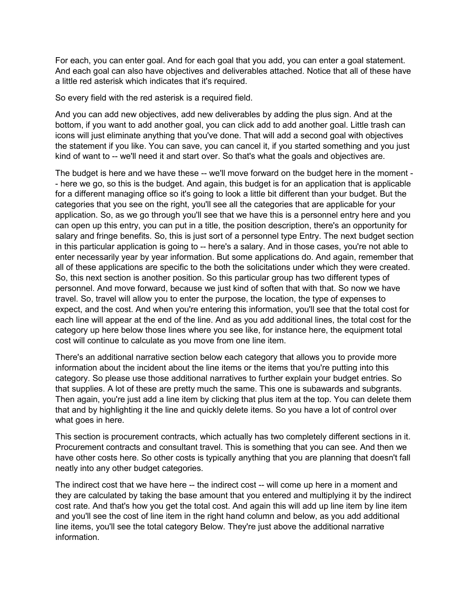For each, you can enter goal. And for each goal that you add, you can enter a goal statement. And each goal can also have objectives and deliverables attached. Notice that all of these have a little red asterisk which indicates that it's required.

So every field with the red asterisk is a required field.

And you can add new objectives, add new deliverables by adding the plus sign. And at the bottom, if you want to add another goal, you can click add to add another goal. Little trash can icons will just eliminate anything that you've done. That will add a second goal with objectives the statement if you like. You can save, you can cancel it, if you started something and you just kind of want to -- we'll need it and start over. So that's what the goals and objectives are.

The budget is here and we have these -- we'll move forward on the budget here in the moment - - here we go, so this is the budget. And again, this budget is for an application that is applicable for a different managing office so it's going to look a little bit different than your budget. But the categories that you see on the right, you'll see all the categories that are applicable for your application. So, as we go through you'll see that we have this is a personnel entry here and you can open up this entry, you can put in a title, the position description, there's an opportunity for salary and fringe benefits. So, this is just sort of a personnel type Entry. The next budget section in this particular application is going to -- here's a salary. And in those cases, you're not able to enter necessarily year by year information. But some applications do. And again, remember that all of these applications are specific to the both the solicitations under which they were created. So, this next section is another position. So this particular group has two different types of personnel. And move forward, because we just kind of soften that with that. So now we have travel. So, travel will allow you to enter the purpose, the location, the type of expenses to expect, and the cost. And when you're entering this information, you'll see that the total cost for each line will appear at the end of the line. And as you add additional lines, the total cost for the category up here below those lines where you see like, for instance here, the equipment total cost will continue to calculate as you move from one line item.

There's an additional narrative section below each category that allows you to provide more information about the incident about the line items or the items that you're putting into this category. So please use those additional narratives to further explain your budget entries. So that supplies. A lot of these are pretty much the same. This one is subawards and subgrants. Then again, you're just add a line item by clicking that plus item at the top. You can delete them that and by highlighting it the line and quickly delete items. So you have a lot of control over what goes in here.

This section is procurement contracts, which actually has two completely different sections in it. Procurement contracts and consultant travel. This is something that you can see. And then we have other costs here. So other costs is typically anything that you are planning that doesn't fall neatly into any other budget categories.

The indirect cost that we have here -- the indirect cost -- will come up here in a moment and they are calculated by taking the base amount that you entered and multiplying it by the indirect cost rate. And that's how you get the total cost. And again this will add up line item by line item and you'll see the cost of line item in the right hand column and below, as you add additional line items, you'll see the total category Below. They're just above the additional narrative information.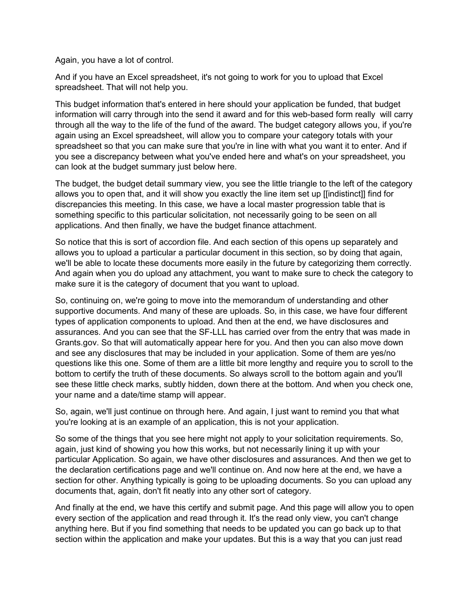Again, you have a lot of control.

And if you have an Excel spreadsheet, it's not going to work for you to upload that Excel spreadsheet. That will not help you.

This budget information that's entered in here should your application be funded, that budget information will carry through into the send it award and for this web-based form really will carry through all the way to the life of the fund of the award. The budget category allows you, if you're again using an Excel spreadsheet, will allow you to compare your category totals with your spreadsheet so that you can make sure that you're in line with what you want it to enter. And if you see a discrepancy between what you've ended here and what's on your spreadsheet, you can look at the budget summary just below here.

The budget, the budget detail summary view, you see the little triangle to the left of the category allows you to open that, and it will show you exactly the line item set up [[indistinct]] find for discrepancies this meeting. In this case, we have a local master progression table that is something specific to this particular solicitation, not necessarily going to be seen on all applications. And then finally, we have the budget finance attachment.

So notice that this is sort of accordion file. And each section of this opens up separately and allows you to upload a particular a particular document in this section, so by doing that again, we'll be able to locate these documents more easily in the future by categorizing them correctly. And again when you do upload any attachment, you want to make sure to check the category to make sure it is the category of document that you want to upload.

So, continuing on, we're going to move into the memorandum of understanding and other supportive documents. And many of these are uploads. So, in this case, we have four different types of application components to upload. And then at the end, we have disclosures and assurances. And you can see that the SF-LLL has carried over from the entry that was made in Grants.gov. So that will automatically appear here for you. And then you can also move down and see any disclosures that may be included in your application. Some of them are yes/no questions like this one. Some of them are a little bit more lengthy and require you to scroll to the bottom to certify the truth of these documents. So always scroll to the bottom again and you'll see these little check marks, subtly hidden, down there at the bottom. And when you check one, your name and a date/time stamp will appear.

So, again, we'll just continue on through here. And again, I just want to remind you that what you're looking at is an example of an application, this is not your application.

So some of the things that you see here might not apply to your solicitation requirements. So, again, just kind of showing you how this works, but not necessarily lining it up with your particular Application. So again, we have other disclosures and assurances. And then we get to the declaration certifications page and we'll continue on. And now here at the end, we have a section for other. Anything typically is going to be uploading documents. So you can upload any documents that, again, don't fit neatly into any other sort of category.

And finally at the end, we have this certify and submit page. And this page will allow you to open every section of the application and read through it. It's the read only view, you can't change anything here. But if you find something that needs to be updated you can go back up to that section within the application and make your updates. But this is a way that you can just read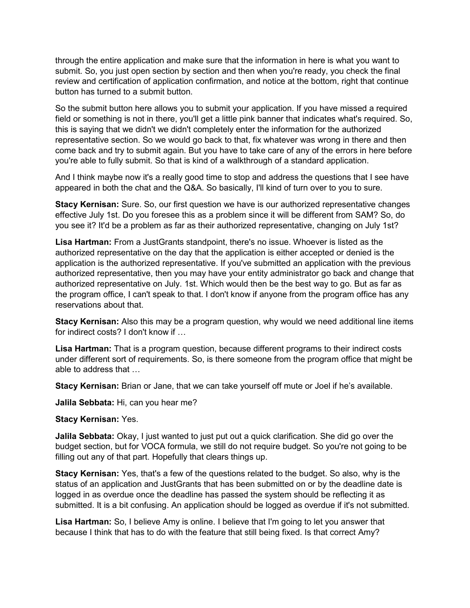through the entire application and make sure that the information in here is what you want to submit. So, you just open section by section and then when you're ready, you check the final review and certification of application confirmation, and notice at the bottom, right that continue button has turned to a submit button.

So the submit button here allows you to submit your application. If you have missed a required field or something is not in there, you'll get a little pink banner that indicates what's required. So, this is saying that we didn't we didn't completely enter the information for the authorized representative section. So we would go back to that, fix whatever was wrong in there and then come back and try to submit again. But you have to take care of any of the errors in here before you're able to fully submit. So that is kind of a walkthrough of a standard application.

And I think maybe now it's a really good time to stop and address the questions that I see have appeared in both the chat and the Q&A. So basically, I'll kind of turn over to you to sure.

**Stacy Kernisan:** Sure. So, our first question we have is our authorized representative changes effective July 1st. Do you foresee this as a problem since it will be different from SAM? So, do you see it? It'd be a problem as far as their authorized representative, changing on July 1st?

**Lisa Hartman:** From a JustGrants standpoint, there's no issue. Whoever is listed as the authorized representative on the day that the application is either accepted or denied is the application is the authorized representative. If you've submitted an application with the previous authorized representative, then you may have your entity administrator go back and change that authorized representative on July. 1st. Which would then be the best way to go. But as far as the program office, I can't speak to that. I don't know if anyone from the program office has any reservations about that.

**Stacy Kernisan:** Also this may be a program question, why would we need additional line items for indirect costs? I don't know if …

**Lisa Hartman:** That is a program question, because different programs to their indirect costs under different sort of requirements. So, is there someone from the program office that might be able to address that …

**Stacy Kernisan:** Brian or Jane, that we can take yourself off mute or Joel if he's available.

**Jalila Sebbata:** Hi, can you hear me?

## **Stacy Kernisan:** Yes.

**Jalila Sebbata:** Okay, I just wanted to just put out a quick clarification. She did go over the budget section, but for VOCA formula, we still do not require budget. So you're not going to be filling out any of that part. Hopefully that clears things up.

**Stacy Kernisan:** Yes, that's a few of the questions related to the budget. So also, why is the status of an application and JustGrants that has been submitted on or by the deadline date is logged in as overdue once the deadline has passed the system should be reflecting it as submitted. It is a bit confusing. An application should be logged as overdue if it's not submitted.

**Lisa Hartman:** So, I believe Amy is online. I believe that I'm going to let you answer that because I think that has to do with the feature that still being fixed. Is that correct Amy?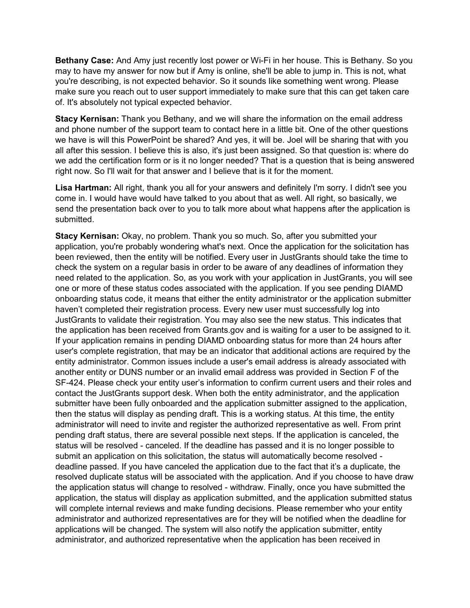**Bethany Case:** And Amy just recently lost power or Wi-Fi in her house. This is Bethany. So you may to have my answer for now but if Amy is online, she'll be able to jump in. This is not, what you're describing, is not expected behavior. So it sounds like something went wrong. Please make sure you reach out to user support immediately to make sure that this can get taken care of. It's absolutely not typical expected behavior.

**Stacy Kernisan:** Thank you Bethany, and we will share the information on the email address and phone number of the support team to contact here in a little bit. One of the other questions we have is will this PowerPoint be shared? And yes, it will be. Joel will be sharing that with you all after this session. I believe this is also, it's just been assigned. So that question is: where do we add the certification form or is it no longer needed? That is a question that is being answered right now. So I'll wait for that answer and I believe that is it for the moment.

**Lisa Hartman:** All right, thank you all for your answers and definitely I'm sorry. I didn't see you come in. I would have would have talked to you about that as well. All right, so basically, we send the presentation back over to you to talk more about what happens after the application is submitted.

**Stacy Kernisan:** Okay, no problem. Thank you so much. So, after you submitted your application, you're probably wondering what's next. Once the application for the solicitation has been reviewed, then the entity will be notified. Every user in JustGrants should take the time to check the system on a regular basis in order to be aware of any deadlines of information they need related to the application. So, as you work with your application in JustGrants, you will see one or more of these status codes associated with the application. If you see pending DIAMD onboarding status code, it means that either the entity administrator or the application submitter haven't completed their registration process. Every new user must successfully log into JustGrants to validate their registration. You may also see the new status. This indicates that the application has been received from Grants.gov and is waiting for a user to be assigned to it. If your application remains in pending DIAMD onboarding status for more than 24 hours after user's complete registration, that may be an indicator that additional actions are required by the entity administrator. Common issues include a user's email address is already associated with another entity or DUNS number or an invalid email address was provided in Section F of the SF-424. Please check your entity user's information to confirm current users and their roles and contact the JustGrants support desk. When both the entity administrator, and the application submitter have been fully onboarded and the application submitter assigned to the application, then the status will display as pending draft. This is a working status. At this time, the entity administrator will need to invite and register the authorized representative as well. From print pending draft status, there are several possible next steps. If the application is canceled, the status will be resolved - canceled. If the deadline has passed and it is no longer possible to submit an application on this solicitation, the status will automatically become resolved deadline passed. If you have canceled the application due to the fact that it's a duplicate, the resolved duplicate status will be associated with the application. And if you choose to have draw the application status will change to resolved - withdraw. Finally, once you have submitted the application, the status will display as application submitted, and the application submitted status will complete internal reviews and make funding decisions. Please remember who your entity administrator and authorized representatives are for they will be notified when the deadline for applications will be changed. The system will also notify the application submitter, entity administrator, and authorized representative when the application has been received in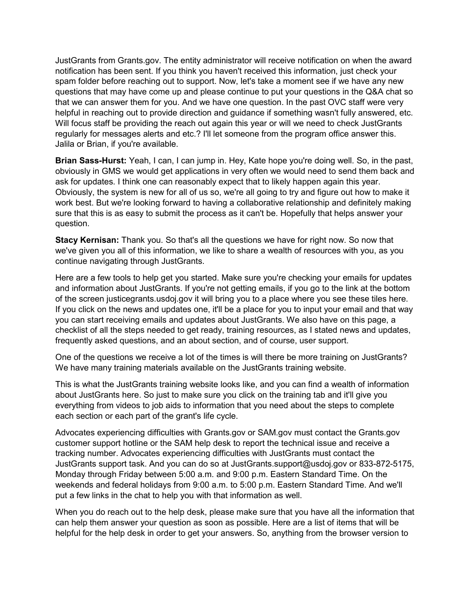JustGrants from Grants.gov. The entity administrator will receive notification on when the award notification has been sent. If you think you haven't received this information, just check your spam folder before reaching out to support. Now, let's take a moment see if we have any new questions that may have come up and please continue to put your questions in the Q&A chat so that we can answer them for you. And we have one question. In the past OVC staff were very helpful in reaching out to provide direction and guidance if something wasn't fully answered, etc. Will focus staff be providing the reach out again this year or will we need to check JustGrants regularly for messages alerts and etc.? I'll let someone from the program office answer this. Jalila or Brian, if you're available.

**Brian Sass-Hurst:** Yeah, I can, I can jump in. Hey, Kate hope you're doing well. So, in the past, obviously in GMS we would get applications in very often we would need to send them back and ask for updates. I think one can reasonably expect that to likely happen again this year. Obviously, the system is new for all of us so, we're all going to try and figure out how to make it work best. But we're looking forward to having a collaborative relationship and definitely making sure that this is as easy to submit the process as it can't be. Hopefully that helps answer your question.

**Stacy Kernisan:** Thank you. So that's all the questions we have for right now. So now that we've given you all of this information, we like to share a wealth of resources with you, as you continue navigating through JustGrants.

Here are a few tools to help get you started. Make sure you're checking your emails for updates and information about JustGrants. If you're not getting emails, if you go to the link at the bottom of the screen justicegrants.usdoj.gov it will bring you to a place where you see these tiles here. If you click on the news and updates one, it'll be a place for you to input your email and that way you can start receiving emails and updates about JustGrants. We also have on this page, a checklist of all the steps needed to get ready, training resources, as I stated news and updates, frequently asked questions, and an about section, and of course, user support.

One of the questions we receive a lot of the times is will there be more training on JustGrants? We have many training materials available on the JustGrants training website.

This is what the JustGrants training website looks like, and you can find a wealth of information about JustGrants here. So just to make sure you click on the training tab and it'll give you everything from videos to job aids to information that you need about the steps to complete each section or each part of the grant's life cycle.

Advocates experiencing difficulties with Grants.gov or SAM.gov must contact the Grants.gov customer support hotline or the SAM help desk to report the technical issue and receive a tracking number. Advocates experiencing difficulties with JustGrants must contact the JustGrants support task. And you can do so at JustGrants.support@usdoj.gov or 833-872-5175, Monday through Friday between 5:00 a.m. and 9:00 p.m. Eastern Standard Time. On the weekends and federal holidays from 9:00 a.m. to 5:00 p.m. Eastern Standard Time. And we'll put a few links in the chat to help you with that information as well.

When you do reach out to the help desk, please make sure that you have all the information that can help them answer your question as soon as possible. Here are a list of items that will be helpful for the help desk in order to get your answers. So, anything from the browser version to